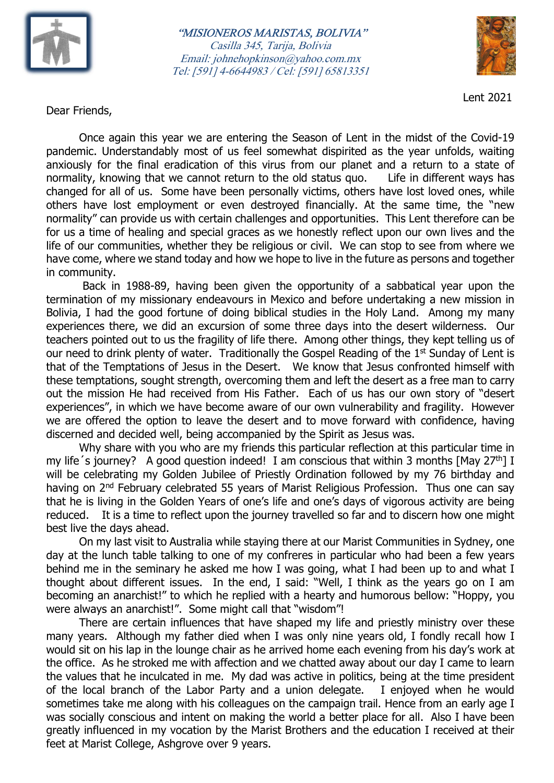

## "MISIONEROS MARISTAS, BOLIVIA" Casilla 345, Tarija, Bolivia Email: johnehopkinson@yahoo.com.mx Tel: [591] 4-6644983 / Cel: [591] 65813351



Lent 2021

Dear Friends,

 Once again this year we are entering the Season of Lent in the midst of the Covid-19 pandemic. Understandably most of us feel somewhat dispirited as the year unfolds, waiting anxiously for the final eradication of this virus from our planet and a return to a state of normality, knowing that we cannot return to the old status quo. Life in different ways has changed for all of us. Some have been personally victims, others have lost loved ones, while others have lost employment or even destroyed financially. At the same time, the "new normality" can provide us with certain challenges and opportunities. This Lent therefore can be for us a time of healing and special graces as we honestly reflect upon our own lives and the life of our communities, whether they be religious or civil. We can stop to see from where we have come, where we stand today and how we hope to live in the future as persons and together in community.

 Back in 1988-89, having been given the opportunity of a sabbatical year upon the termination of my missionary endeavours in Mexico and before undertaking a new mission in Bolivia, I had the good fortune of doing biblical studies in the Holy Land. Among my many experiences there, we did an excursion of some three days into the desert wilderness. Our teachers pointed out to us the fragility of life there. Among other things, they kept telling us of our need to drink plenty of water. Traditionally the Gospel Reading of the 1<sup>st</sup> Sunday of Lent is that of the Temptations of Jesus in the Desert. We know that Jesus confronted himself with these temptations, sought strength, overcoming them and left the desert as a free man to carry out the mission He had received from His Father. Each of us has our own story of "desert experiences", in which we have become aware of our own vulnerability and fragility. However we are offered the option to leave the desert and to move forward with confidence, having discerned and decided well, being accompanied by the Spirit as Jesus was.

 Why share with you who are my friends this particular reflection at this particular time in my life's journey? A good question indeed! I am conscious that within 3 months [May 27<sup>th</sup>] I will be celebrating my Golden Jubilee of Priestly Ordination followed by my 76 birthday and having on 2<sup>nd</sup> February celebrated 55 years of Marist Religious Profession. Thus one can say that he is living in the Golden Years of one's life and one's days of vigorous activity are being reduced. It is a time to reflect upon the journey travelled so far and to discern how one might best live the days ahead.

 On my last visit to Australia while staying there at our Marist Communities in Sydney, one day at the lunch table talking to one of my confreres in particular who had been a few years behind me in the seminary he asked me how I was going, what I had been up to and what I thought about different issues. In the end, I said: "Well, I think as the years go on I am becoming an anarchist!" to which he replied with a hearty and humorous bellow: "Hoppy, you were always an anarchist!". Some might call that "wisdom"!

There are certain influences that have shaped my life and priestly ministry over these many years. Although my father died when I was only nine years old, I fondly recall how I would sit on his lap in the lounge chair as he arrived home each evening from his day's work at the office. As he stroked me with affection and we chatted away about our day I came to learn the values that he inculcated in me. My dad was active in politics, being at the time president of the local branch of the Labor Party and a union delegate. I enjoyed when he would sometimes take me along with his colleagues on the campaign trail. Hence from an early age I was socially conscious and intent on making the world a better place for all. Also I have been greatly influenced in my vocation by the Marist Brothers and the education I received at their feet at Marist College, Ashgrove over 9 years.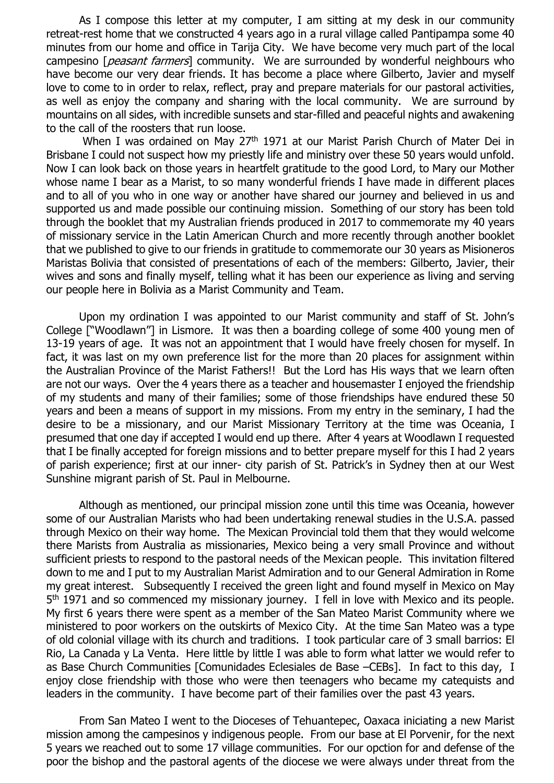As I compose this letter at my computer, I am sitting at my desk in our community retreat-rest home that we constructed 4 years ago in a rural village called Pantipampa some 40 minutes from our home and office in Tarija City. We have become very much part of the local campesino [*peasant farmers*] community. We are surrounded by wonderful neighbours who have become our very dear friends. It has become a place where Gilberto, Javier and myself love to come to in order to relax, reflect, pray and prepare materials for our pastoral activities, as well as enjoy the company and sharing with the local community. We are surround by mountains on all sides, with incredible sunsets and star-filled and peaceful nights and awakening to the call of the roosters that run loose.

When I was ordained on May 27<sup>th</sup> 1971 at our Marist Parish Church of Mater Dei in Brisbane I could not suspect how my priestly life and ministry over these 50 years would unfold. Now I can look back on those years in heartfelt gratitude to the good Lord, to Mary our Mother whose name I bear as a Marist, to so many wonderful friends I have made in different places and to all of you who in one way or another have shared our journey and believed in us and supported us and made possible our continuing mission. Something of our story has been told through the booklet that my Australian friends produced in 2017 to commemorate my 40 years of missionary service in the Latin American Church and more recently through another booklet that we published to give to our friends in gratitude to commemorate our 30 years as Misioneros Maristas Bolivia that consisted of presentations of each of the members: Gilberto, Javier, their wives and sons and finally myself, telling what it has been our experience as living and serving our people here in Bolivia as a Marist Community and Team.

 Upon my ordination I was appointed to our Marist community and staff of St. John's College ["Woodlawn"] in Lismore. It was then a boarding college of some 400 young men of 13-19 years of age. It was not an appointment that I would have freely chosen for myself. In fact, it was last on my own preference list for the more than 20 places for assignment within the Australian Province of the Marist Fathers!! But the Lord has His ways that we learn often are not our ways. Over the 4 years there as a teacher and housemaster I enjoyed the friendship of my students and many of their families; some of those friendships have endured these 50 years and been a means of support in my missions. From my entry in the seminary, I had the desire to be a missionary, and our Marist Missionary Territory at the time was Oceania, I presumed that one day if accepted I would end up there. After 4 years at Woodlawn I requested that I be finally accepted for foreign missions and to better prepare myself for this I had 2 years of parish experience; first at our inner- city parish of St. Patrick's in Sydney then at our West Sunshine migrant parish of St. Paul in Melbourne.

Although as mentioned, our principal mission zone until this time was Oceania, however some of our Australian Marists who had been undertaking renewal studies in the U.S.A. passed through Mexico on their way home. The Mexican Provincial told them that they would welcome there Marists from Australia as missionaries, Mexico being a very small Province and without sufficient priests to respond to the pastoral needs of the Mexican people. This invitation filtered down to me and I put to my Australian Marist Admiration and to our General Admiration in Rome my great interest. Subsequently I received the green light and found myself in Mexico on May 5<sup>th</sup> 1971 and so commenced my missionary journey. I fell in love with Mexico and its people. My first 6 years there were spent as a member of the San Mateo Marist Community where we ministered to poor workers on the outskirts of Mexico City. At the time San Mateo was a type of old colonial village with its church and traditions. I took particular care of 3 small barrios: El Rio, La Canada y La Venta. Here little by little I was able to form what latter we would refer to as Base Church Communities [Comunidades Eclesiales de Base –CEBs]. In fact to this day, I enjoy close friendship with those who were then teenagers who became my catequists and leaders in the community. I have become part of their families over the past 43 years.

From San Mateo I went to the Dioceses of Tehuantepec, Oaxaca iniciating a new Marist mission among the campesinos y indigenous people. From our base at El Porvenir, for the next 5 years we reached out to some 17 village communities. For our opction for and defense of the poor the bishop and the pastoral agents of the diocese we were always under threat from the